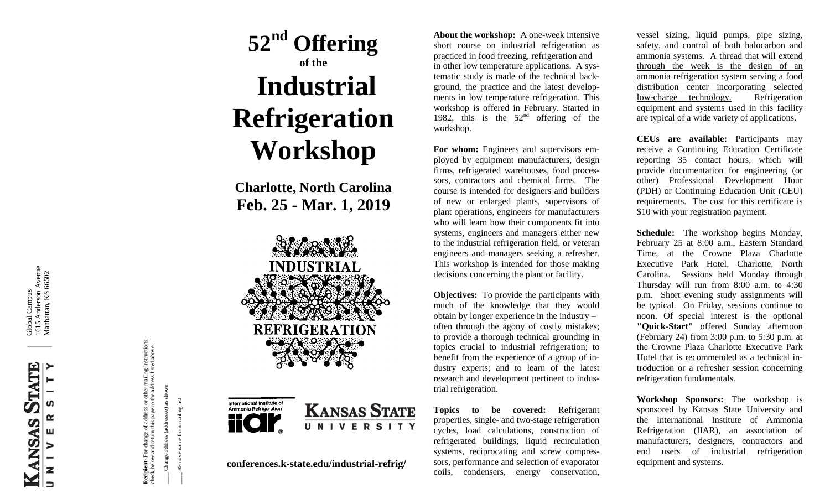i Global Campus 1615 Anderson Avenue Manhattan, KS 66502

 $\overline{\phantom{a}}$ 



**Recipient:** For change of address or other mailing instructions, **Recipient:** For change of address or other mailing instructions,<br>check below and return this page to the address listed above. check below and return this page to the address listed above. Change address (addressee) as shown

Remove name from mailing list \_\_\_\_ Remove name from mailing list

\_\_\_\_ Change address (addressee) as shown

# **5 2nd Offering of the Industrial Refrigeration Workshop**

**Charlotte, North Carolina Feb . 25 - Mar. 1, 2019**



**conferences.k -state.edu/industrial -refrig/**

About the workshop: A one-week intensive short course on industrial refrigeration as practiced in food freezing, refrigeration and in other low temperature applications. A sys tematic study is made of the technical back ground, the practice and the latest develop ments in low temperature refrigeration. This workshop is offered in February. Started in 1982, this is the  $52<sup>nd</sup>$  offering of the workshop.

**For whom:** Engineers and supervisors em ployed by equipment manufacturers, design firms, refrigerated warehouses, food proces sors, contractors and chemical firms. The course is intended for designers and builders of new or enlarged plants, supervisors of plant operations, engineers for manufacturers who will learn how their components fit into systems, engineers and managers either new to the industrial refrigeration field, or veteran engineers and managers seeking a refresher. This workshop is intended for those making decisions concerning the plant or facility.

**Objectives:** To provide the participants with much of the knowledge that they would obtain by longer experience in the industry – often through the agony of costly mistakes; to provide a thorough technical grounding in topics crucial to industrial refrigeration; to benefit from the experience of a group of i n dustry experts; and to learn of the latest research and development pertinent to indus trial refrigeration.

**Topics to be covered:** Refrigerant properties, single - and two -stage refrigeration cycles, load calculations, construction of refrigerated buildings, liquid recirculation systems, reciprocating and screw compres sors, performance and selection of evaporator coils, condensers, energy conservation,

vessel sizing, liquid pumps, pipe sizing, safety, and control of both halocarbon and ammonia systems. A thread that will extend through the week is the design of an ammonia refrigeration system serving a food distribution center incorporating selected low -charge technology . Refrigeration equipment and systems used in this facility are typical of a wide variety of applications.

**CEUs are available:** Participants may receive a Continuing Education Certificate reporting 35 contact hours, which will provide documentation for engineering (or other) Professional Development Hour (PDH) or Continuing Education Unit (CEU) requirements. The cost for this certificate is \$10 with your registration payment.

**Schedule:** The workshop begins Monday, February 25 at 8:00 a.m., Eastern Standard Time, at the Crowne Plaza Charlotte Executive Park Hotel, Charlotte, North Carolina. Sessions held Monday through Thursday will run from 8:00 a.m. to 4:30 p.m. Short evening study assignments will be typical. On Friday, sessions continue to noon. Of special interest is the optional **"Quick -Start"** offered Sunday afternoon (February 24) from 3:00 p.m. to 5:30 p.m. at the Crowne Plaza Charlotte Executive Park Hotel that is recommended as a technical in troduction or a refresher session concerning refrigeration fundamentals.

**Workshop Sponsors:** The workshop is sponsored by Kansas State University and the International Institute of Ammonia Refrigeration (IIAR), an association of manufacturers, designers, contractors and end users of industrial refrigeration equipment and systems.